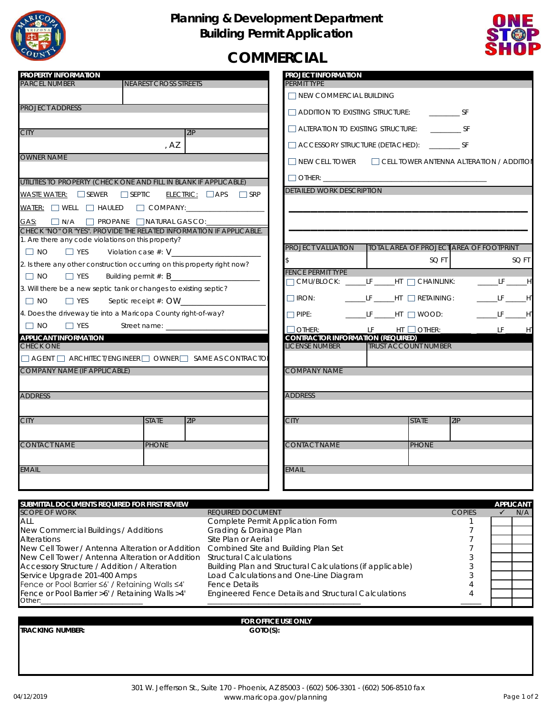

## **Planning & Development Department Building Permit Application**



## **COMMERCIAL**

| <b>PROPERTY INFORMATION</b>                                                                                                                                                      |                                                       | <b>PROJECT INFORMATION</b>                                             |                                         |              |                    |                  |
|----------------------------------------------------------------------------------------------------------------------------------------------------------------------------------|-------------------------------------------------------|------------------------------------------------------------------------|-----------------------------------------|--------------|--------------------|------------------|
| <b>PARCEL NUMBER</b><br><b>NEAREST CROSS STREETS</b>                                                                                                                             |                                                       | PERMIT TYPE<br>$\Box$ NEW COMMERCIAL BUILDING                          |                                         |              |                    |                  |
| <b>PROJECT ADDRESS</b>                                                                                                                                                           |                                                       |                                                                        |                                         |              |                    |                  |
|                                                                                                                                                                                  |                                                       | $\Box$ ADDITION TO EXISTING STRUCTURE: SF                              |                                         |              |                    |                  |
| ZIP<br><b>CITY</b>                                                                                                                                                               |                                                       | ALTERATION TO EXISTING STRUCTURE: _______________ SF                   |                                         |              |                    |                  |
| , AZ                                                                                                                                                                             |                                                       | □ ACCESSORY STRUCTURE (DETACHED): ____________ SF                      |                                         |              |                    |                  |
| <b>OWNER NAME</b><br>$\Box$ NEW CELL TOWER $\Box$ CELL TOWER ANTENNA ALTERATION / ADDITION                                                                                       |                                                       |                                                                        |                                         |              |                    |                  |
|                                                                                                                                                                                  |                                                       |                                                                        |                                         |              |                    |                  |
| UTILITIES TO PROPERTY (CHECK ONE AND FILL IN BLANK IF APPLICABLE)                                                                                                                | <b>DETAILED WORK DESCRIPTION</b>                      |                                                                        |                                         |              |                    |                  |
| $\overline{\text{WASE WATER}}$ : SEWER SEPTIC<br>$ELECTRIC: \Box APS \Box SRP$                                                                                                   |                                                       |                                                                        |                                         |              |                    |                  |
|                                                                                                                                                                                  |                                                       |                                                                        |                                         |              |                    |                  |
| GAS: N/A PROPANE NATURAL GAS CO:                                                                                                                                                 |                                                       |                                                                        |                                         |              |                    |                  |
| CHECK "NO" OR "YES". PROVIDE THE RELATED INFORMATION IF APPLICABLE.<br>1. Are there any code violations on this property?                                                        |                                                       |                                                                        |                                         |              |                    |                  |
| $\Box$ NO<br>$\Box$ YES<br>Violation case $#: V$                                                                                                                                 |                                                       | <b>PROJECT VALUATION</b>                                               | TOTAL AREA OF PROJECT AREA OF FOOTPRINT |              |                    |                  |
| 2. Is there any other construction occurring on this property right now?                                                                                                         |                                                       | \$                                                                     |                                         | SQ FT        |                    | SQ FT            |
| $\Box$ NO<br>$\Box$ YES                                                                                                                                                          |                                                       | <b>FENCE PERMIT TYPE</b><br>□ CMU/BLOCK: ______LF _____HT □ CHAINLINK: |                                         |              |                    | $L = LF$ $H$     |
| 3. Will there be a new septic tank or changes to existing septic?                                                                                                                |                                                       |                                                                        |                                         |              |                    |                  |
| $\Box$ NO<br>$\Box$ YES                                                                                                                                                          |                                                       | $\Box$ IRON: $\Box$ LF $\Box$ HT $\Box$ RETAINING:                     |                                         |              |                    | $L = LF$ $H$     |
| 4. Does the driveway tie into a Maricopa County right-of-way?                                                                                                                    |                                                       | □ PIPE: _____________LF _______HT ___] WOOD: _______________________HT |                                         |              |                    |                  |
| $\Box$ NO<br>$\Box$ YES                                                                                                                                                          |                                                       | $\Box$ OTHER: ______ ______LF ______HT $\Box$ OTHER:__                 |                                         |              |                    |                  |
| <b>APPLICANT INFORMATION</b><br><b>CHECK ONE</b>                                                                                                                                 |                                                       | <b>CONTRACTOR INFORMATION (REQUIRED)</b><br><b>LICENSE NUMBER</b>      | <b>TRUST ACCOUNT NUMBER</b>             |              |                    |                  |
| $\Box$ AGENT $\Box$ ARCHITECT/ENGINEER $\Box$ OWNER $\Box$ SAME AS CONTRACTO                                                                                                     |                                                       |                                                                        |                                         |              |                    |                  |
| <b>COMPANY NAME (IF APPLICABLE)</b><br><b>COMPANY NAME</b>                                                                                                                       |                                                       |                                                                        |                                         |              |                    |                  |
|                                                                                                                                                                                  |                                                       |                                                                        |                                         |              |                    |                  |
| <b>ADDRESS</b>                                                                                                                                                                   |                                                       | <b>ADDRESS</b>                                                         |                                         |              |                    |                  |
|                                                                                                                                                                                  |                                                       |                                                                        |                                         |              |                    |                  |
| <b>CITY</b><br><b>STATE</b><br><b>ZIP</b>                                                                                                                                        |                                                       | <b>CITY</b>                                                            |                                         | <b>STATE</b> | <b>ZIP</b>         |                  |
|                                                                                                                                                                                  |                                                       |                                                                        |                                         |              |                    |                  |
| <b>CONTACT NAME</b><br><b>PHONE</b>                                                                                                                                              |                                                       | <b>CONTACT NAME</b>                                                    |                                         | <b>PHONE</b> |                    |                  |
| <b>EMAIL</b>                                                                                                                                                                     |                                                       | EMAIL                                                                  |                                         |              |                    |                  |
|                                                                                                                                                                                  |                                                       |                                                                        |                                         |              |                    |                  |
|                                                                                                                                                                                  |                                                       |                                                                        |                                         |              |                    |                  |
| SUBMITTAL DOCUMENTS REQUIRED FOR FIRST REVIEW                                                                                                                                    |                                                       |                                                                        |                                         |              |                    | <b>APPLICANT</b> |
| <b>SCOPE OF WORK</b><br>all                                                                                                                                                      | REQUIRED DOCUMENT<br>Complete Permit Application Form |                                                                        |                                         |              | <b>COPIES</b><br>1 | ✓<br>N/A         |
| New Commercial Buildings / Additions                                                                                                                                             | Grading & Drainage Plan                               |                                                                        |                                         |              | 7                  |                  |
| Site Plan or Aerial<br><b>Alterations</b><br>7                                                                                                                                   |                                                       |                                                                        |                                         |              |                    |                  |
| New Cell Tower / Antenna Alteration or Addition<br>Combined Site and Building Plan Set<br>New Cell Tower / Antenna Alteration or Addition<br><b>Structural Calculations</b><br>3 |                                                       |                                                                        |                                         |              |                    |                  |
| Accessory Structure / Addition / Alteration<br>Building Plan and Structural Calculations (if applicable)<br>3                                                                    |                                                       |                                                                        |                                         |              |                    |                  |
| Service Upgrade 201-400 Amps<br>Load Calculations and One-Line Diagram<br>3                                                                                                      |                                                       |                                                                        |                                         |              |                    |                  |
| Fence or Pool Barrier ≤6' / Retaining Walls ≤4'<br><b>Fence Details</b><br><b>Engineered Fence Details and Structural Calculations</b><br>4                                      |                                                       |                                                                        |                                         |              |                    |                  |
| Fence or Pool Barrier >6' / Retaining Walls >4'<br>Other:_                                                                                                                       |                                                       |                                                                        |                                         |              |                    |                  |
|                                                                                                                                                                                  | FOR OFFICE USE ONLY                                   |                                                                        |                                         |              |                    |                  |

**TRACKING NUMBER: GOTO(S):**